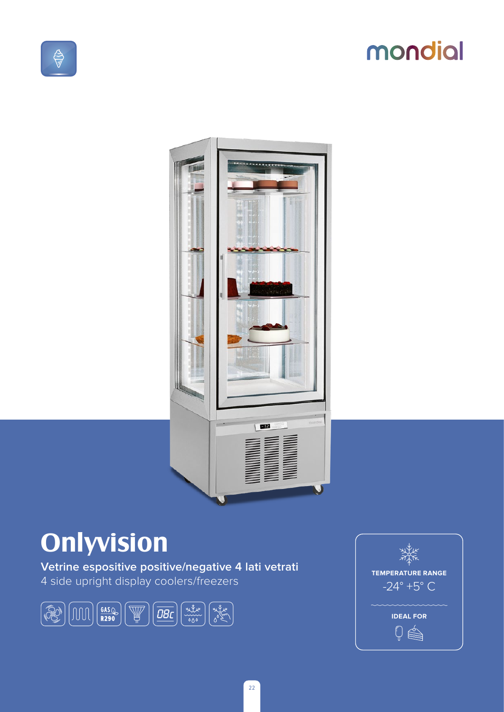# mondial



## **Onlyvision**

Vetrine espositive positive/negative 4 lati vetrati 4 side upright display coolers/freezers